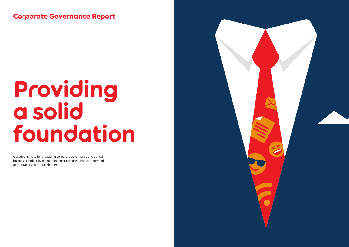Corporate Governance Report

# Providing a solid foundation

Ooredoo aims to be a leader in corporate governance and ethical business conduct by maintaining best practices, transparency and accountability to its stakeholders.

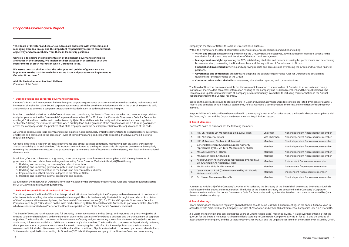**"The Board of Directors and senior executives are entrusted with overseeing and managing Ooredoo Group, and this important responsibility requires commitment, objectivity and accountability from those in leadership positions.** 

**Our role is to ensure the implementation of the highest governance principles and ethics in the company. We implement best practices in accordance with the requirements of stock markets in which Ooredoo is listed.** 

**We assure our shareholders that the principles and policies of governance we implement are the basis for each decision we issue and procedure we implement at Ooredoo Group level."**

**Abdulla Bin Mohammed Bin Saud Al-Thani** Chairman of the Board

#### **1. Ooredoo values and corporate governance philosophy**

Ooredoo's Board and management believe that good corporate governance practices contribute to the creation, maintenance and increase of shareholder value. Sound corporate governance principles are the foundation upon which the trust of investors is built, and are critical to growing a company's reputation for its dedication to both excellence and integrity.

In order to establish a distinct model of commitment and compliance, the Board of Directors has taken into account the provisions and principles set out in the Commercial Companies Law number 11 for 2015, and the Corporate Governance Code for Companies and Legal Entities listed on the main market issued by Qatar Financial Markets Authority and other related laws and regulations set by QFMA, taking these into consideration when drafting laws and regulations of the company to instill a culture of governance across the company, and in the practices of all of its employees with the best implementation of the adjudications of the code.

As Ooredoo continues its rapid growth and global expansion, it is particularly critical to demonstrate to its shareholders, customers, employees and communities the same high levels of commitment and good corporate citizenship that have earned it a strong reputation in Qatar.

Ooredoo aims to be a leader in corporate governance and ethical business conduct by maintaining best practices, transparency and accountability to its stakeholders. This includes a commitment to the highest standards of corporate governance, by regularly reviewing the governance structures and practices in place to ensure their effectiveness and consistency with local and international developments.

In addition, Ooredoo is keen on strengthening its corporate governance framework in compliance with the requirements of governance rules and related laws and regulations set by Qatar Financial Markets Authority (QFMA) through:

- 1. Updating and improving the company's articles of association.
- 2. Updating and improving governance policies and procedures guides.
- 3. Updating and implementation of the board's and sub-committees' charter.
- 4. Implementation of best practices adopted in the State of Qatar.
- 5. Updating and improving internal procedures and policies.

As outlined in the report, we at Ooredoo affirm that we abide by the provisions of governance rules and related regulations issued by QFMA, as well as disclosure requirements.

#### **2. Role and Responsibilities of the Board of Directors**

The primary role of the Board of Directors is to provide institutional leadership to the Company, within a framework of prudent and effective controls enabling risk to be assessed and managed. This role has been fully illustrated through the Articles of Association of the Company and its relevant by-laws, the Commercial Companies Law No. (11) for 2015 and Corporate Governance Code for Companies and Legal Entities listed on the main market issued by Qatar Financial Markets Authority, in particular articles (8) and (9), which were incorporated as a Charter of the Board in a special section of the Corporate Governance Manual.

The Board of Directors has the power and full authority to manage Ooredoo and its Group, and to pursue the primary objective of creating value for shareholders, with consideration given to the continuity of the Group's business and the achievement of corporate objectives. The Board is also concerned with maintenance of equity and justice among stakeholders in terms of timely disclosures and making information available to QFMA and the company's shareholders. The Board is also concerned with periodically reviewing the implementations of governance and compliance with developing the code of ethics, internal policies and the fundamental covenants which includes: 1) covenants of the Board and its committees, 2) policies to deal with concerned parties and shareholders, 3) the rules for qualified insider trading. As Ooredoo QSPC is both the parent company of the Ooredoo Group and an operating

company in the State of Qatar, its Board of Directors has a dual role. Within this framework, the Board of Directors undertakes major responsibilities and duties, including:

- − **Vision and strategy:** determining and refining the Group vision and objectives, as well as those of Ooredoo, which are the foundation for all the actions and decisions of the Board and management.
- − **Management oversight:** appointing the CEO, establishing his duties and powers, assessing his performance and determining his remuneration; nominating the Board members and the key officers of Ooredoo and its Group.
- − **Financial and investment:** reviewing and approving reports and accounts and overseeing the Group and Ooredoo financial positions.
- − **Governance and compliance:** preparing and adopting the corporate governance rules for Ooredoo and establishing guidelines for the governance of the Group.
- − **Communication with stakeholders:** overseeing shareholder reporting and communications.

The Board of Directors is also responsible for disclosure of information to shareholders of Ooredoo in an accurate and timely manner. All shareholders can access information relating to the Company and its Board members and their qualifications. The Company also updates its website with all Company news continuously, in addition to including this information in the Annual Report presented to the General Assembly.

Based on the above, disclosure to stock markets in Qatar and Abu Dhabi where Ooredoo's stocks are listed, by means of quarterly reports and complete annual financial statements, reflects Ooredoo's commitment to the terms and conditions of relating stock markets.

- 
- 
- 
- Responsibilities of the Board have been outlined in the company's articles of association and the board's charter in compliance with

| Chairman      | Non independent / non executive member |
|---------------|----------------------------------------|
| Vice Chairman | Non independent / non executive member |
| Member        | Non independent / non executive member |
| Member        | Non independent / non executive member |
| Member        | Non independent / non executive member |
| Member        | Non independent / non executive member |
| Member        | Independent / non executive member     |
| Member        | Independent / non executive member     |
| Member        | Independent / non executive member     |
| Member        | Non independent / non executive member |

the Company's Law and the Corporate Governance and Legal Entities System.

#### **3. Board Members:**

Ooredoo's Board of Directors has the following members:

- 1. H.E. Sh. Abdulla Bin Mohammed Bin Saud Al Thani
- 2. H.F. Ali Shareef Al Emadi
- 3. H.E. Mohammed Bin Issa Al Mohannadi
- 4. General Retirement & Social Insurance Authority represented by H.E Mr. Turki Mohammed Al Khater
- 5. Mr. Aziz Aluthman Fakhroo
- 6. Mr. Nasser Rashid Al Humaidi
- 7. Ali Bin Ghanim Al-Thani Group represented by Sheikh Ali Bin Ghanim Bin Ali Abdullah Al Thani
- 8. Mr. Ibrahim Abdulla Al Mahmoud
- 9. Qatar National Bank (QNB) represented by Mr. Abdulla Mubarak Al-Khalifa
- 10. Dr. Nasser Mohammed Marafih

Pursuant to Article (34) of the Company's Articles of Association, the Secretary of the Board shall be selected by the Board, which shall determine his duties and remuneration. The duties of the Board's secretary are contained in the Company's Corporate Governance Manual and Corporate Governance Code for Companies and Legal Entities listed on the main market issued by Qatar Financial Markets Authority.

#### **4. Board Meetings:**

Board meetings are conducted regularly, given that there should be no less than 6 Board meetings in the annual financial year, in accordance with Article (30) of the Company's Articles of Association and Article 104 of Commercial Companies Law No. 11 for 2015.

It is worth mentioning in this context that the Board of Directors held six (6) meetings in 2019. It is also worth mentioning that the quorum for the Board's meetings has been fulfilled according to Commercial Company's Law No 11 for 2015, and the articles of association of the company, and the Corporate Governance Manual and the Legal Entities listed on the main market issued by QFMA.

# Corporate Governance Report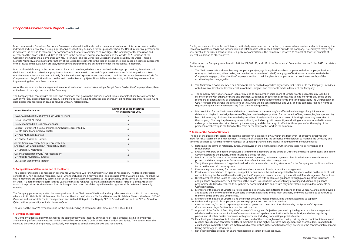In accordance with Ooredoo's Corporate Governance Manual, the Board conducts an annual evaluation of its performance on the individual and collective levels using a questionnaire specifically designed for this purpose, where the Board's collective performance is evaluated, as well as its members' performance, and that of its committees to investigate the familiarity of the Chairman and members of the Board with the duties as set forth in the Corporate Governance Manual and the Articles of Association of the Company, the Commercial Companies Law No. 11 for 2015, and the Corporate Governance Code issued by the Qatar Financial Markets Authority, as well as to inform them of the latest developments in the field of governance, and based on some requirements or the results of the evaluation process, development programmes are designed for each individual board member.

In case of real deficiency in the performance of a Board member, which was not resolved at the appropriate time, then the Board shall have the right to take the appropriate action in accordance with Law and Corporate Governance. In this regard, each Board member signs a declaration that he is fully familiar with the Corporate Governance Manual and the Corporate Governance Code for Companies and Legal Entities listed on the main market issued by Qatar Financial Markets Authority and that they are committed to implementing them as a Board member.

As for the senior executive management, an annual evaluation is undertaken using a Target Score Card at the Company's level, then at the level of the major sectors of the Company.

The Company shall comply with the rules and conditions that govern the disclosure and listing in markets. It shall also inform the Authority of any dispute that the Company is part of and is affecting its activities and shares, including litigation and arbitration, and shall disclose transactions or deals concluded with any related party.

| <b>Board Member Name</b>                                                                           | <b>Number of Board Meetings</b><br><b>Attended During 2019</b> |
|----------------------------------------------------------------------------------------------------|----------------------------------------------------------------|
| H.E. Sh. Abdulla Bin Mohammed Bin Saud Al Thani                                                    | 6                                                              |
| H.E. Ali Shareef Al Emadi                                                                          | 6                                                              |
| H.E. Mohammed Bin Issa Al Mohannadi                                                                | 6                                                              |
| General Retirement & Social Insurance Authority represented by<br>H.E Mr. Turki Mohammed Al Khater | 6                                                              |
| Mr. Aziz Aluthman Fakhroo                                                                          | 6                                                              |
| Mr. Nasser Rashid Al Humaidi                                                                       | 6                                                              |
| Ali Bin Ghanim Al-Thani Group represented by<br>Sheikh Ali Bin Ghanim Bin Ali Abdullah Al Thani    | 5                                                              |
| Mr. Ibrahim Al Mahmoud                                                                             | 6                                                              |
| Qatar National Bank (QNB) represented by<br>Mr. Abdulla Mubarak Al-Khalifa                         | 6                                                              |
| Dr. Nasser Mohammed Marafih                                                                        | 5                                                              |

Employees must avoid: conflicts of interest, particularly in commercial transactions, business administration and activities; using the Company's assets, records, and information; and relationships with related parties outside the Company. No employee may accept or request gifts or bribes, loans or bonuses, prizes or commissions. The Company is resolved to combat all forms of conflicts of interest in addition to other matters.

Furthermore, the Company complies with Articles 108,109,110, and 111 of the Commercial Companies Law No. 11 for 2015 that states the following:

- 1. The Chairman or a Board member may not participate/engage in any business that competes with the company's business, or may not be involved, either on his/her own behalf or on others' behalf, in any type of business or activities in which the Company is engaged, otherwise the Company is entitled to ask him/her for compensation or take the ownership of the activities he/she is engaged in.
- 2. The Chairman, a Board member, or a Director is not permitted to practice any activity that is similar to the Company's activities, or to have any direct or indirect interest in contracts, projects and covenants made in favour of the Company.
- 3. The company may not offer a cash loan of any kind to any member of its Board of Directors or to guarantee any loan held by one of them with others, or make an agreement with banks or other credit companies to lend money to any of the Board request compensation when necessary from the offending parties.
- 4. It is prohibited for the Chairman and the Board members or the company's staff to take advantage of any information her children or any of his relatives to 4th degree either directly or indirectly, as a result of dealing in company securities of the company. Nor may they have any interest, directly or indirectly, with any entity conducting operations intended to make a change in the securities prices issued by the company, and this ban stays in effect for three years after the expiry of the person's membership in the Board of Directors or the expiry of his work in the company.

members, or open a facility or guarantee a loan with other parties beyond the terms and conditions set by the Central Bank of Qatar. Agreements beyond the provisions of this Article will be considered null and void, and the company retains it rights to

delivered to his/her knowledge by virtue of his/her membership or position for the benefit of him/herself, his/her spouse, his/

#### **7. Duties of the Board of Directors**

The role of the Board of Directors is to lead the company in a pioneering way within the framework of effective directives that allow for risk assessment and management. The Board of Directors has the authority and full power to manage the Company and continue business to fulfil the fundamental goal of upholding shareholders' rights, in addition to the following tasks:

consent during the Annual General Meeting of the Company, as recommended by the Audit and Risk Management Committee.

- 1. Determine the terms of reference, duties, and powers of the Chief Executive Officer and assess his performance and remuneration.
- 2. Evaluate, withdraw and define the powers granted to the members of the Board of Directors and Board committees, and define ways of exercising the powers, and formulating a policy for that.
- 3. Monitor the performance of the senior executive management; review management plans in relation to the replacement process and the arrangements for remunerations of senior executive management.
- 4. Verify the appropriateness of organisational, administrative and accounting structures for the Company and its Group, with a
- focus on the internal control system. 5. Ensure adequate planning for the succession and replacement of senior executive management.
- 6. Provide recommendations to appoint, re-appoint or quarantine the auditor appointed by the shareholders on the basis of their
- 7. Direct members of the Board of Directors and provide them with continuous guidance through planning of the induction and guidance programmes. The Chairman of the Board is responsible for consistently providing induction and guidance programmes to Board members, to help them perform their duties and ensure they understand ongoing developments on
- Company issues. 8. Members of the Board of Directors are expected to be seriously committed to the Board and the Company, and also to develop
- the work of the Board and Committees.
- 9. Members of the Board of Directors and the senior executive management will be trained according to capacity.
- 10. Review and approval of company's major strategic plans and oversee its execution.
- Governance and legal Entities listed on the main market.
- which should include determination of means and tools of rapid communication with the authority and other regulatory parties, and all other parties concerned with governance including nominating a point of contact.
- 13. Establishing of internal control rules and controls, and of them through a written policy that regulates conflict of interests and taking advantage of information.
- 14. Developing precise policies for Board membership, according to applied laws.

and expand their knowledge of the Company's current operations and its main business, and to be available to contribute to

11. Oversee company's special corporate governance system and the extent of its abidance by the System of Corporate

12. Approval of the Guide of Executing the Company's Strategy and Objectives prepared by the higher executive management,

resolves any situation conflict for all Board members and the higher executive management and shareholders. In addition to establishing a complete disclosure system which accomplishes justice and transparency, preventing the conflict of interests and

#### **5. Composition and Remuneration of the Board:**

The Board of Directors is composed in accordance with Article 22 of the Company's Articles of Association. The Board of Directors consists of 10 non-executive members, five of whom, including the Chairman, shall be appointed by the Qatar Holding. The other five Board members are elected by secret ballot of the General Assembly according to the applicability of the terms of the nomination on them. A Board member's term is three years and may be renewed. To maintain minority's rights, Article 45 of the Articles of Association provides for that shareholders holding no less than 10% of the capital have the right to call for a General Assembly meeting.

The Company pursues separation between positions of the Chairman of the Board and any other executive position in the company, where H.E. Sh. Abdulla Bin Mohammed Bin Saud Al Thani is the Chairman, Sh. Saud Bin Nasser Bin Faleh Al Thani is the Group CEO of Ooredoo and responsible for its management, and Waleed Al-Sayed is the Deputy CEO of Ooredoo Group and the CEO of Ooredoo Qatar, with responsibility for its business in Qatar.

The value of the Board's remunerations for the period ending 31 December 2018 amounted to QR14,400,000.

#### **6. Conflict of Interests:**

The Company adopts a policy that ensures the confidentiality and integrity any reports of illegal actions relating to employees and general performance measures, which are clarified in Ooredoo's Code of Business Conduct and Ethics. The Code includes the expected behaviour of employees, particularly with regard to compliance with laws and regulations.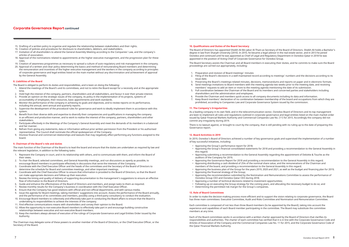- 15. Drafting of a written policy to organise and regulate the relationship between stakeholders and their rights.
- 16. Creation of policies and procedures for disclosure to shareholders, debitors, and stakeholders.
- 17. Invitation of all shareholders to attend the General Assembly Meeting according to the Companies' Law, and the company's articles of association.
- 18. Approval of the nominations related to appointments at the higher executive management, and the progression plan for these roles.
- 19. Creation of awareness programmes as necessary to spread a culture of auto-regulatory and risk management in the company.
- 20. Approval of a written and clear policy determining the basics and method of remunerating Board members and determining the remuneration and incentives of the higher executive management and the workers in the company according to principles of corporate governance and legal entities listed on the main market without any discrimination and achievement of approval by the General Assembly.

#### **8. Liabilities of the Board**

The Board is obliged to perform its duties and responsibilities, and is keen on doing the following:

- 1. Attend the meetings of the Board's and its committees, and not to retire the Board except for a necessity and at the appropriate time.
- 2. Hold high the interest of the company, partners, shareholders and all stakeholders, and favour it over their private interest.
- 3. Provide an opinion on the strategic issues of the company, its policy in the implementation of its projects, systems of accountability of employees, their resources, basic appointments and work standards.
- 4. Monitor the performance of the company in achieving its goals and objectives, and to review reports on its performance, including the annual, semi-annual and quarterly reports.
- 5. Supervise the development of the procedural rules for governance and work to ideally implement them in accordance with this system.
- 6. Benefit from their diverse skills and expertise to diversify their competencies and qualifications in managing the company in an efficient and productive manner, and to work to realise the interest of the company, partners, shareholders and other stakeholders.
- 7. Participate effectively in the Meetings of the Company's General Assembly and meet the demands of its members in a balanced and fair manner.
- 8. Refrain from giving any statements, data or information without prior written permission from the President or his authorised representative. The Council shall nominate the official spokesperson of the Company.
- 9. Disclose financial and commercial relationships and lawsuits that may negatively affect performing any functions assigned to the board.

#### **9. Chairman of the Board's role and duties**

The main function of the Chairman of the Board is to lead the board and ensure that the duties are undertaken as required by law and the relevant legislation, in addition to the following tasks:

- 1. Represent the Company in court, and in its relationship with others, and to communicate with them, and inform the Board of their views.
- 2. To chair the Board, selected committees, and General Assembly meetings, and run discussions as openly as possible, to encourage Board members to participate effectively in discussions that serve the interests of the Company.
- 3. Coordinate with the Chief Executive Officer and the heads of the committees and the Secretary of the Board of Directors to determine the schedule for Board and committee meetings, and other important meetings.
- 4. Coordinate with the Chief Executive Officer to ensure that information is provided to the Board of Directors, so that the Board can make appropriate decisions and follow-up their execution.
- 5. Review the timing and quality of delivery of supporting documentation to the management's suggestions to ensure an effective flow of information to the Board of Directors.
- 6. Guide and enhance the effectiveness of the Board of Directors and members, and assign tasks to them as required.
- 7. Review monthly results for the Company's business in coordination with the Chief Executive Officer.
- 8. Ensure that the Company has good relations with official and non-official departments, and with various media.
- 9. Issue the agenda for Board meetings, taking members' suggestions into account. Assess the performance of the Board annually, and the performance of its committees and members, possibly using a third-party consultancy to conduct the evaluation.
- 10. Encourage Board members to collectively and effectively take part in conducting the Board affairs to ensure that the Board is undertaking its responsibilities to achieve the interests of the company.
- 11. Find effective communications means with shareholders and convey their opinion to the Board.
- 12. Allow the opportunity to non-executive Board members to effectively take part in and encourage building constructive relationships between executive and non-executive Board members.
- 13. Keep the members always abreast of execution of the rulings of Corporate Governance and Legal Entities Order issued by the Authority.

The Chairman may delegate some of these powers to another member of the Board of Directors, or the Chief Executive Officer, or the Secretary of the Board.

#### **10. Qualifications and Duties of the Board Secretary**

The Board of Directors has appointed Sheikh Ali Bin Jabor Al-Thani as Secretary of the Board of Directors. Sheikh Ali holds a Bachelor's degree in law from Sharjah University (2010). In 2010, he became a legal advisor in the real estate sector, and in 2013 he joined Ooredoo and continued until he was appointed as Chief of Legal and Regulatory Department in Ooredoo Qatar in 2018 he was appointed in the position of Acting Chief of Corporate Governance for Ooredoo Group.

The Board Secretary assists the Chairman and all Board members in executing their duties, and he commits to make sure the Board proceedings are carried out appropriately, including:

3. Preserving the Board's meetings-related minutes, decisions, memorandums and reports on paper and in electronic formats. 4. Send meetings invitations to Board members with the meeting agenda two weeks prior to the meeting date, and receiving

- 1. Preparation and revision of Board meetings' minutes
- 2. Filing of the Board's decisions in a well-maintained record according to meetings' numbers and the decisions according to its issue date.
- 
- members' requests to add an item or more to the meeting agenda mentioning the date of its submission. 5. Full coordination between the Chairman of the Board and its members and concerned parties and stakeholders including
- shareholders and the administration and employees.
- 7. Keep Board members' declaration of no combination between membership of the board and occupations from which they are prohibited, according to Companies Law and Corporate Governance System issued by the commission.

6. Provide the Chairman and members quick access to all company documents including its data and information.

#### **11. The Company's Irregularities**

As a leading company in its own field, and in the telecommunication sector, Ooredoo Board of Directors and its top management are keen to implement all rules and regulations outlined in corporate governance and legal entities listed on the main market order issued by Qatar Financial Markets Authority and Commercial Companies Law No. (11) for 2015. Accordingly the company did not commit any irregularity during 2019.

There is no lawsuit against, or brought to court by the company, that is still pending with no ruling up to the date of preparing this Governance report.

#### **12. Board Activities in 2019**

In 2019, Ooredoo's Board of Directors achieved a number of key governance goals and supervised the implementation of a number of key successful initiatives, including:

• Approving the Group's financial consolidated statements for 2018 and providing a recommendation to the General Assembly in

- Approving the Group's performance report for 2018;
- this regard;
- Approving submitting a recommendation to the General Assembly regarding the appointment of Deloitte & Touche as the auditors of the Company for 2019;
- Approving the Governance Report for 2018 and providing a recommendation to the General Assembly in this regard;
- Approving distributing a cash dividend of 25% of the nominal share value, and the remunerations of the Chairman and
- members of the board, and providing a recommendation to the General Assembly in this regard;
- Approving the financial strategy of the Group;
- Approving the recommendation submitted by the Nomination and Remunerations Committee to assess the performance of
- Ooredoo Group CEO and Ooredoo Qatar CEO during 2018;
- Approving a number of technical decisions related to investment opportunities;
- Determining the permitted risk margin for the Group's companies.
- 

• Approving the business plan of the Group for the years 2019, 2020 and 2021, as well as the budget and financing plan for 2019;

• Following up on executing the Group strategy for the coming years, and allocating the necessary budget to do so; and

# **13. Role of Board Committees**

In order to make the decision-making process more efficient and to support the vision relating to corporate governance, the Board has three main committees: Executive Committee, Audit and Risks Committee and Nomination and Remuneration Committee.

Each committee is composed of not less than three Board members (to be appointed by the Board), taking into account the experience and capabilities of each Board member participating in the committee. The Board may substitute the committee members at any time.

Each of the Board committees works in accordance with a written charter approved by the Board of Directors that clarifies its responsibilities and authorities. The charter of each committee has verified that it is in line with the Corporate Governance Code and Articles of Association of the Company and the Commercial Companies Law No. 11 for 2015, and the Corporate Governance Code of the Qatar Financial Markets Authority.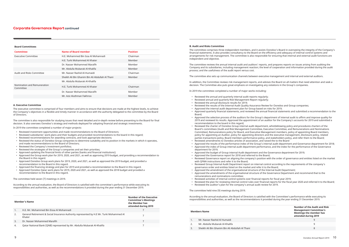#### **Members Name**

| Number of the Audit and Risk<br><b>Management Committee's</b><br><b>Meetings the member has</b><br>attended during 2019 |
|-------------------------------------------------------------------------------------------------------------------------|
|                                                                                                                         |
| q                                                                                                                       |
|                                                                                                                         |

|                                | . |
|--------------------------------|---|
| Mr. Nasser Rashid Al Humaidi   |   |
| Mr. Abdulla Mubarak Al-Khalifa |   |

3. Sheikh Ali Bin Ghanim Bin Ali Abdullah Al Thani 8

• Reviewed the plan for reviewing internal control rules over financial reports for the fiscal year 2020 and referred it to the Board; • Reviewed the auditor's plan for the company's annual audit review for 2019.

### The committee held nine (9) meetings during 2019.

According to the annual evaluation, the Board of Directors is satisfied with the Committee's performance while executing its responsibilities and authorities, as well as the recommendations it provided during the year ending 31 December 2019.

The committee reviews the annual internal audit and auditors' reports, and prepares reports on issues arising from auditing the Company and its subsidiaries, including management reaction; the level of cooperation and information provided during the audit process; and the usefulness of the audit report versus cost.

#### **B. Audit and Risks Committee**

The committee comprises three independent members, and it assists Ooredoo's Board in overseeing the integrity of the Company's financial statements. It also provides consultancy to the Board on the efficiency and adequacy of internal control systems and arrangements for risk management. The committee is also responsible for ensuring that internal and external audit functions are independent and objective.

- Reviewed the annual and quarterly internal audit reports regularly;
- Reviewed annual and quarterly Risk Management Report regularly;
- Reviewed the annual disclosure results for 2019;
- 
- Approved the internal audit department plan for Group based on risks for 2019;
- 
- Board;
- 2019 and reviewed its results. Approved the appointment of an auditor for the Company's accounts for 2019 and submitted a recommendation to the board in this regard;
- Reviewed the charter of Ooredoo Group internal audit department, whistleblowing policy and procedures charters of the Board's committees (Audit and Risk Management Committee, Executive Committee, and Remunerations and Nominations Committee), Remunerations policy for Board, and Executive Management members, policy of appointing Board members, policy for appointing an Auditor, policy for appointing directors and the executive management, disclosure policy, related parties transactions policy, Board members performance policy, and stakeholders policy, and refer them to the Board;
- Reviewed amendments to Ooredoo articles of association, and raised the to the Board
- 
- department for 2019;
- Approved the budget of Group internal Audit department and the Governance department for 2019;
- Approved the Governance report for 2018 and referred to the Board;
- with QFMA instructions and refer it to the Board;
- Reviewed Group Internal Audit Department report on internal control according to the requirements of the company's governance order and entities listed on the market and refer it to the Board;
- Approved the amendment of the organisational structure of the Internal Audit Department; • Approved the amendments of the organisational structure of the Governance Department and recommend that to the
- remunerations and nominations committee;
- Reviewed activities of internal control systems over financial reports for fiscal year 2019;
- 
- 

The committee also sets up communication channels between executive management and internal and external auditors.

In addition, the Committee reviews risk management reports, and advises the Board on all matters that need attention and seek a decision. The Committee also puts great emphasis on investigating any violations in the Group's companies.

In 2019 the committee completed a number of major works including:

• Reviewed the results of the Internal Audit Quality Assurance Review for Ooredoo and Group companies;

• Approved quarterly financial statements, and reviewed the annual financial statements and submitted a recommendation to the

• Approved the selection process of the auditors for the Group's department of internal audit to affirm and improve quality for

• Approved the results of the performance index of the Group's internal audit department and Governance department for 2018; • Approved the index of Group internal audit department performance, and the index for the performance of the Governance

• Reviewed Governance report on aligning the company's position with the order of governance and entities listed on the market

#### **Board Committees**

| <b>Committee</b>                         | Name of Board member                            | <b>Position</b> |
|------------------------------------------|-------------------------------------------------|-----------------|
| <b>Executive Committee</b>               | H.E. Mohammed Bin Issa Al Mohannadi             | Chairman        |
|                                          | H.F. Turki Mohammed Al Khater                   | Member          |
|                                          | Dr. Nasser Mohammed Marafih                     | Member          |
|                                          | Mr. Abdulla Mubarak Al-Khalifa                  | Member          |
| Audit and Risks Committee                | Mr. Nasser Rashid Al-Humaidi                    | Chairman        |
|                                          | Sheikh Ali Bin Ghanim Bin Ali Abdullah Al Thani | Member          |
|                                          | Mr. Abdulla Mubarak Al-Khalifa                  |                 |
| Nomination and Remuneration<br>Committee | H.E. Turki Mohammed Al Khater                   | Chairman        |
|                                          | Dr. Nasser Mohammed Marafih                     | Member          |
|                                          | Mr. Aziz Aluthman Fakhroo                       | Member          |

#### **A. Executive Committee**

The executive committee is comprised of four members and aims to ensure that decisions are made at the highest levels, to achieve the Company's objectives in a flexible and timely manner in accordance with the authority delegated to the committee by the Board of Directors.

The committee is also responsible for studying issues that need detailed and in-depth review before presenting to the Board for final decision. It also oversees Ooredoo's strategy and methods deployed for adopting financial and strategic investments.

In 2019 the committee completed a number of major projects:

- Reviewed investment opportunities and made recommendations to the Board of Directors;
- Reviewed subsidiaries' work plans and their budgets and provided recommendations to the board in this regard;
- Reviewed recommendations for awarding contracts, and took appropriate decisions;
- Reviewed the status of Ooredoo Group companies to determine suitability and its position in the markets in which it operates, and made recommendations to the Board of Directors;
- Reviewed the Company's investment portfolios;
- Reviewed the strategies of the Group's companies and set their priorities;
- Approved updating the financial limits of other parties (banks and financial institutions);
- Approved the Group work plan for 2019, 2020, and 2021, as well as approving 2019 budget, and providing a recommendation to the Board in this regard.
- Approved Ooredoo Group work plans for 2019, 2020, and 2021, as well as approved the 2019 budget, and provided a recommendation to the Board in this regard.
- Approved the financing strategy and plan for 2019 and provided a recommendation to the Board in this regard.
- Approved Ooredoo Qatar work plans for 2019, 2020 and 2021, as well as approved the 2018 budget and provided a recommendation to the Board in this regard.

The committee held seven (7) meetings in 2019.

According to the annual evaluation, the Board of Directors is satisfied with the committee's performance while executing its responsibilities and authorities, as well as the recommendations it provided during the year ending 31 December 2019.

| <b>Number of the Executive</b><br><b>Committee's Meetings</b><br>the Member has<br>attended during 2019 |
|---------------------------------------------------------------------------------------------------------|
|                                                                                                         |
|                                                                                                         |
|                                                                                                         |
|                                                                                                         |
|                                                                                                         |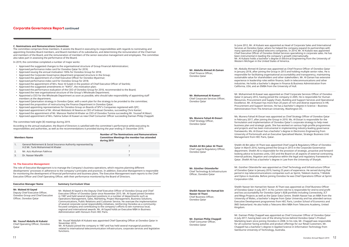| <b>Members Name</b>                                                                                | <b>Number of The Nominations and Remunerations</b><br><b>Committee Meetings the member has attended</b><br>during 2019 |
|----------------------------------------------------------------------------------------------------|------------------------------------------------------------------------------------------------------------------------|
| General Retirement & Social Insurance Authority represented by<br>H.E Mr. Turki Mohammed Al Khater |                                                                                                                        |
| Mr. Aziz Aluthman Fakhroo                                                                          |                                                                                                                        |
| Dr. Nasser Marafih                                                                                 |                                                                                                                        |

#### **14. The Executive Management**

The role of Executive Management is to manage the Company's business operations, which requires planning different developments' processes in adherence to the company's principles and practices. In addition, Executive Management is responsible for monitoring the development of financial performance and business plans. The Executive Management team reports to the Chief Executive Officer and Chief Operating Officer, with their performance monitored by the Board of Directors.

| <b>Executive Manager Name</b>                                                                                         | <b>Summary Curriculum Vitae</b>                                                                                                                                                                                                                                                                                                                                                                                                                                                                                                                                                                                                                                                                                                                                    |
|-----------------------------------------------------------------------------------------------------------------------|--------------------------------------------------------------------------------------------------------------------------------------------------------------------------------------------------------------------------------------------------------------------------------------------------------------------------------------------------------------------------------------------------------------------------------------------------------------------------------------------------------------------------------------------------------------------------------------------------------------------------------------------------------------------------------------------------------------------------------------------------------------------|
| Mr. Waleed Al-Sayed<br>Deputy Chief Executive Officer,<br>Ooredoo Group and Chief Executive<br>Officer, Ooredoo Oatar | Mr. Waleed Al-Sayed is the Deputy Chief Executive Officer of Ooredoo Group and Chief<br>Executive Officer of Ooredoo Qatar since November 2015. Mr. Al-Sayed joined Ooredoo<br>in 1987 and held several important positions in a number of departments such as<br>Operations Management, Sales, Marketing, Project Management, Business Solutions,<br>Communications, Public Relations and Customer Service. He oversaw the implementation<br>of several corporate social responsibility initiatives, reinforcing Ooredoo as a community-<br>focused company and contributing to the company's efforts to win numerous local,<br>regional and international awards. Mr. Al-Sayed holds an Executive MBA in Business<br>Administration with Honours from HEC Paris. |
| Mr. Yousuf Abdulla Al Kubaisi<br>Chief Operating Officer, Ooredoo<br>Qatar                                            | Mr. Yousef Abdullah Al Kubaisi was appointed Chief Operating Officer at Ooredoo Qatar in<br>November 2015.<br>Mr. Al Kubaisi joined the company in 1987 and has held several managerial positions<br>related to international telecommunication infrastructure, corporate services and legislative                                                                                                                                                                                                                                                                                                                                                                                                                                                                 |

functions.

In June 2012, Mr. Al Kubaisi was appointed as Head of Corporate Sales and International Services at Ooredoo Qatar, where he helped the company expand its partnerships with many operators and global telecoms companies. In 2014, Mr. Al Kubaisi was appointed Chief Executive Officer of Ooredoo Global Services specialising in corporate sales. He has been instrumental in leading the company's growth internationally. Mr. Al Kubaisi holds a bachelor's degree in Electrical Engineering from the University of Western Michigan in the United States of America.

Mr. Abdulla Ahmed Al-Zaman was appointed as Chief Finance Officer of Ooredoo Qatar in January 2018, after joining the Group in 2013 and holding multiple senior roles. He is responsible for facilitating organisational accountability and transparency, maintaining sustainable value for shareholders and other stakeholders. Mr. Al-Zaman has extensive experience in leadership roles within finance, both in telecommunications and other industries. He holds a bachelor's degree in Finance & Business Administration from California, USA, and an EMBA from the University of Hull.

Mr. Mohammed Al-Kuwari was appointed as Chief Corporate Services Officer of Ooredoo Qatar in January 2012, having joined the company in 2005. He is responsible for Human Resources, Procurement and Supply Chain, Building and Support Services and Operational Excellence. Mr. Al-Kuwari has more than 20 years of rich and diverse experience in HR, Procurement and Support Services. He has a bachelor's degree in Science – Business Administration from The American University, Washington DC.

Ms. Munera Fahad Al-Dosari was appointed as Chief Strategy Officer of Ooredoo Qatar in February 2017, after joining the Group in 2010. Ms. Al-Dosari is responsible for the formulation and implementation of Ooredoo Qatar's corporate strategy to help meet business plan and strategic goals. She has worked on various high-profile programmes and projects and has been instrumental in implementing industry-leading governance frameworks. Ms. Al-Dosari has a bachelor's degree in Electronics Engineering from University of Portsmouth and an Executive Specialised Master, Strategic Business Unit Management from HEC Paris, Qatar.

Sheikh Ali Bin Jabor Al-Thani was appointed Chief Legal & Regulatory Officer of Ooredoo Qatar in March 2016, having joined the Group in 2013 in the Corporate Governance department. Sheikh Ali is responsible for the provision of strategic, proactive and forwardlooking advice to business units, CEO and the Board on all aspects of external contracting, internal policies, litigation and compliance within the legal and regulatory frameworks in Qatar. Sheikh Ali has a bachelor's degree in Law from the University of Sharjah.

Mr. Günther Ottendorfer was appointed as Chief Technology and Infrastructure Officer of Ooredoo Qatar in January 2019, having 25 years of experience. He served during that period in top telecommunications companies such as Sprint, Telekom Austria, T-Mobile and Optus in Australia. Before joining Ooredoo he was Chief Operations Officer at Sprint Corporation USA.

Sheikh Nasser bin Hamad bin Nasser Al Thani was appointed as Chief Business Officer of Ooredoo Qatar in July 2017. In his current role he is responsible for end-to-end profit and loss accountability for Ooredoo Qatar's B2B portfolio including Connectivity, ICT and Mega Projects as well as the Qatar Data Centre. Sheikh Nasser has an MBA from the University of Wales, a bachelor's degree from Qatar University and has attended various Executive Development programmes from HEC Paris, London School of Economics and IMD Switzerland. He also holds a Telecoms Mini MBA from Telecoms Academy, United

Mr. Damian Philip Chappell was appointed as Chief Consumer Officer of Ooredoo Qatar in July 2017, having been one of the driving forces behind Ooredoo Qatar's Product Marketing team since joining Ooredoo in 2008. In his role, Mr. Chappell was responsible for all customer facing activities and product offerings for our Retail Customers. Mr. Chappell has a bachelor's degree in Applied Science in Information Technology from Swinburne University of Technology, Australia.

Kingdom. **Sheikh Nasser bin Hamad bin** 

**Mr. Abdulla Ahmed Al-Zaman** Chief Finance Officer, Ooredoo Qatar

**Mr. Mohammad Al-Kuwari** Chief Corporate Services Officer, Ooredoo Qatar

**Ms. Munera Fahad Al-Dosari** Chief Strategy Officer, Ooredoo Qatar

**Sheikh Ali Bin Jabor Al-Thani** Chief Legal & Regulatory Officer, Ooredoo Qatar

**Mr. Günther Ottendorfer** Chief Technology & Infrastructure Officer, Ooredoo Qatar

**Nasser Al Thani** Chief Business Officer, Ooredoo Qatar

**Mr. Damian Philip Chappell**  Chief Consumer Officer, Ooredoo Qatar

#### **C. Nominations and Remunerations Committee**

The committee comprises three members. It assists the Board in executing its responsibilities with regards to nominating and appointing Ooredoo Board members, and Board members of its subsidiaries, and determining the remuneration of the Chairman and members of the Board, and the remuneration of members of the senior executive management and employees. The committee also takes part in assessing the performance of the Board.

In 2019, the committee completed a number of major works:

- Approved the suggested changes to the organisational structure of Group Financial Administration;
- Approved performance index card for Ooredoo Qatar for 2018;
- Approved issuing the annual motivation 100% for Ooredoo Group for 2018;
- Approved the Corporate Governance department proposed structure in the Group;
- Approved the appointment of a Chief Executive Officer for Ooredoo Myanmar;
- Approved performance index card for Ooredoo Group for 2018;
- Approved the appointment of Mrs. Noor Al Sulaiti in the position of Chief Executive Officer of Starlink;
- Approved the suggested amendments in "KAFO", the motivation plan;
- Approved the performance evaluation of the CEO of Ooredoo Group for 2018, recommended to the Board;
- Approved the new organisational structure of the Group's Wholesale Department;
- Appointed a CEO for the Wholesale Department as soon as possible, who should take responsibility of appointing staff members at the department;
- Approved Qatarisation strategy in Ooredoo Qatar, with a work plan for the strategy to be provided to the committee;
- Approved the proposition of restructuring the Finance Department in Ooredoo Qatar;
- Approved appointing representatives for Ooredoo Group on Boards of SPV's Companies registered with QFC;
- Approved appointment of Mr. Ahmad Abdulaziz Al Neama as CEO of Indosat Ooredoo, succeeding Chris Kanter;
- Approved the appointment of Mr. Mansoor Rashid Al-Khater as CEO of Ooredoo Tunisia succeeding Mr. Youssef Al Masri;
- Approved appointment of Mrs. Fatima Sultan Al Kuwari as new Chief Consumer Officer succeeding Damian Philip Chappell.

#### The committee held eight (8) meetings during 2019.

According to the annual evaluation, the Board of Directors is satisfied with the committee's performance while executing its responsibilities and authorities, as well as the recommendations it provided during the year ending 31 December 2019.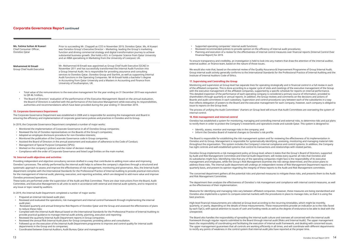**Ms. Fatima Sultan Al Kuwari** Chief Consumer Officer, Ooredoo Qatar

**Mohammed Al Emadi** Group Chief Audit Executive

- Total value of the remunerations to the executive management for the year ending on 31 December 2019 was equivalent to QR 46.1million,
- The Board of Directors' evaluation of the performance of the Executive Management: Based on the annual evaluation, the Board of Directors is satisfied with the performance of the Executive Management while executing its responsibilities, authorities and recommendations which have been provided during the year ending 31 December 2019.

#### **15. Corporate Governance Department**

The Corporate Governance Department was established in 2008 and is responsible for assisting the management and Board in ensuring the efficiency and implementation of corporate governance policies and practices in Ooredoo and its Group.

In 2019, the Corporate Governance Department completed a number of major works:

- Monitored the implementation of Corporate Governance in all of Ooredoo Group companies;
- Reviewed the list of Ooredoo representatives on the Boards of the Group's companies;
- Adopted an employee disclosure procedure for non-Ooredoo interests;
- Monitored the publication of the Corporate Governance code in Group companies;
- Assisted the Board of Directors in the annual assessment and evaluation of adherence to the Code of Conduct;
- Management of Special Purpose Companies (SPVs);
- Worked on the company's policies and the roster of decision making;
- Compliance with the order of Corporate Governance and listed Legal Entities on the main market.

#### **16. Internal audit objectives and activities**

Providing independent and objective consultancy services drafted in a way that contributes to adding more value and improving Ooredoo's processes. The activity performed by the internal audit helps to achieve the company's objectives through a structured and systematic approach to assess and improve the effectiveness of risk management, monitoring and governance. Also, the Internal Audit department complies with the International Standards for the Professional Practice of Internal Auditing to provide practical instructions for the management of internal audit, planning, execution, and reporting activities, which are designed to add more value and improve Ooredoo processes/operations.

These tasks are performed under the supervision of the Audit and Risk Committee. There are clear instructions from the Board, Audit Committee, and Executive Management to all units to work in accordance with external and internal audit systems, and to respond to any issue or topic raised by auditors.

In 2019, the Internal Audit Department completed a number of major works:

- Prepared an internal risk-based audit plan;
- Reviewed and evaluated the operations, risk management and internal control framework through implementing the internal audit plan;
- Reviewed quarterly and annual Enterprise Risk Reports of Ooredoo Qatar and the Group and assessed the effectiveness of plans to reduce these risks;
- Complied with the Internal Audit Manual based on the International Standards for the Professional Practice of Internal Auditing to provide practical guidance to manage internal audit activity, planning, execution and reporting;
- Reviewed the quarterly Internal Audit Department reports in Group companies;
- Reviewed the annual Risk Internal Audit plans for Group companies; providing advice and consultation.
- Followed up on the execution of the Internal Audit Department programme to improve and control quality for internal audit departments in the Group and its companies;
- Coordinated between External Auditors, Audit Bureau Qatar and management;

Prior to succeeding Mr. Chappell as CCO in November 2019, Ooredoo Qatar, Ms. Al Kuwari was Ooredoo Group's Executive Director – Marketing, leading the Group's marketing function and driving commercial strategy and digital transformation journey to achieve substantial business growth. She holds a B.S. in Computer Science from Qatar University and an MBA specialising in Marketing from the University of Liverpool, UK.

Mr. Mohammed Al-Emadi was appointed as Group Chief Audit Executive (GCAE) in November 2011 and has successfully transformed the Internal Audit Function into a Group Internal Audit. He is responsible for providing assurance and consulting services to Ooredoo Qatar, Ooredoo Group and Starlink, as well as supporting Internal Audit functions in the Operating Companies. Mr Al-Emadi holds a bachelor's degree in Accounting from Qatar University and a Masters in Accounting and Finance from University of Southampton, UK.

- Supported operating companies' internal audit functions;
- Reviewed recommended policies to provide opinion on the efficiency of internal audit procedures;
- Financial Report) for 2019.

• Planning and execution of a review for the effectiveness of internal control measures over financial reports (Internal Control Over

To ensure transparency and credibility, an investigation is held to look into any matters that draw the attention of the internal auditor, external auditor, or finance team, based on the nature of those issues.

We would also note that, based on the external review of the Quality Assurance & Improvement Programme of Group Internal Audit, Group internal audit activity generally conforms to the International Standards for the Professional Practice of Internal Auditing and the Institute of Internal Auditors Code of Ethics.

# **17. Supervising and Controlling the Group**

Monitoring and supervision at Group level has separate lines for operating strategically and in financial control in a full review in each of the affiliated companies. This is done according to a regular cycle of visits and meetings of the executive management of the Group with the executive management of the affiliated companies, supported by a specific schedule for reports on internal performance. This detailed inspection of the performance of each operating company is considered a primary source of information, provided to shareholders through quarterly or annual reports. In addition, the Group reviews and comments on the decisions and actions of Boards and audit committees in each subsidiary. Supervision and control procedures vary between each of the subsidiaries in a way that reflects delegation of powers to the Board and the executive management for each company, however, each company is obliged to issue its reports on the Group level.

The process of unifying the Audit Committees' charters on Group level will ensure that Audit Committees are overseeing the system of internal control.

# **18. Risk management and internal control**

Ooredoo has established a system for monitoring, managing and controlling internal and external risks, to determine risks and put plans to rectify them in order to protect the Company's investments and operations inside and outside Qatar. This system is designed to:

• Identify, assess, monitor and manage risks in the company; and • Inform the Ooredoo Board of material changes to Ooredoo's risk profile.

The Board is responsible for establishing the risk management system and for reviewing the effectiveness of its implementation in Ooredoo and its Group. Management is responsible for systematically identifying, assessing, monitoring and managing material risks throughout the organisation. This system includes the Company's internal compliance and control systems. In addition, the Company has tight controls and well-established systems that control its transactions and relationships with related parties.

Ooredoo Group implements a risk management policy at Group level, where it states that the Group's Board of Directors, supported by Audit and Risk Management Committee and Internal Audit Department, will review every quarter all risks that Ooredoo and its subsidiaries might face. Identifying risks that any of the operating companies might face is the responsibility of its executive management and employees, while the Group's Risk Management examines the risk ratings determined, and the action plans to address these risks. The internal audit department will undergo an independent review of Risk Management Department reports on quarterly basis, and present its opinion regarding the integrity of these reports to the Audit and Risk Management committee.

The concerned department gathers all the potential risks and planned measures to mitigate these risks, and presents them to the Audit and Risk Management Committee.

The department then analyses the effectiveness of Ooredoo's risk management and compliance with internal control measures, as well as the effectiveness of their implementation.

Measures for identifying and managing risks vary between affiliated companies. However, these measures are being standardised and Ooredoo also implements a system to compare external markets with the procedures in place to manage risks, so that it is using the best practices.

High-level financial measurements are collected at Group level according to the recurring timetables, which might be monthly, quarterly, or yearly, depending on the details of these measurements. These measurements provide an indication as to the risks faced by each OpCo, with special attention to issues of cash and funding needs as well as the degree of endurance to be able to deal with the unexpected.

The Board also handles the responsibility of spreading the internal audit culture and oversees all concerned with the internal audit framework through regular reports submitted to the Board through internal audit (Risks and Internal Audit). The upper management bears the responsibility of coordinating and facilitating the execution of internal audit framework, and dealing with concerned issues. The upper management guarantees that all controls are working efficiently in all times, and will coordinate with different departments to rectify any points of weakness in the control system that internal audit jobs have reported at the proper time.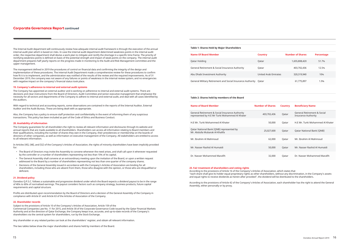The Internal Audit department will continuously review how adequate internal audit framework is through the execution of the annual internal audit plan which is based on risks. In case the internal audit department determined weakness points in the internal audit order, the respective department shall devise a work plan to mitigate and rectify the shortage in a specific time frame. The priority of rectifying weakness points is defined on basis of the potential strength and impact of weak points on the company. The internal audit department prepares half yearly reports on the progress made in monitoring to the Audit and Risk Management committee and the upper management.

The management defined in 2019 the procedures of control on financial data and confirming the integrity of the design and implementation of these procedures. The internal Audit Department made a comprehensive review for these procedures to confirm how fit it is to implement, and the administration was notified of the results of the review and the required improvements. As of 31 December 2019, the company was not aware of any failures or points of weakness in the internal review system, and no emergencies with negative impact on the company's financial status took place.

#### **19. Company's adherence to internal and external audit systems**

The Company has appointed an external auditor and is working on adherence to internal and external audit systems. There are decisions and clear instructions from the Board of Directors, Audit Committee and senior executive management that emphasise the necessity for all sectors and departments of the Company to adhere to internal and external audit, and deal with all cases identified by the auditors.

With regard to technical and accounting reports, some observations are contained in the reports of the Internal Auditor, External Auditor and the Audit Bureau. These are being dealt with as appropriate.

Also, the Company has a policy to ensure staff protection and confidentiality in the event of informing them of any suspicious transactions. This policy has been included as part of the Code of Ethics and Business Conduct.

#### **20. Availability of information**

The Company guarantees for all shareholders the right to review all relevant information and disclosures through its website and annual reports that are made available to all shareholders. Shareholders can access all information relating to Board members and their qualifications, including the number of shares they own in the Company, their presidencies or membership on the boards of directors of other companies, as well as information on executive management of the Company. All stakeholders are entitled to access to all relevant information.

In Articles (45), (48), and (52) of the Company's Articles of Association, the rights of minority shareholders have been implicitly provided for:

- The Board of Directors may invite the Assembly to convene whenever the need arises, and shall call upon it whenever requested by the controller or a number of shareholders representing not less than 10% of its capital.
- The General Assembly shall convene at an extraordinary meeting upon the invitation of the Board, or upon a written request addressed to the Board by a number of shareholders representing not less than one quarter of the company shares.
- Decisions of the General Assembly issued in accordance with the Company's Articles of Association are binding for all shareholders, including those who are absent from them, those who disagree with the opinion, or those who are disqualified or deficient.

#### **21. Dividend policy**

Ooredoo Q.P.S.C. follows a sustainable and progressive dividend under which the Board expects a dividend payout to be in the range of 40% to 60% of normalised earnings. The payout considers factors such as company strategy, business products, future capital requirements and capital structure.

Profits are distributed upon recommendation by the Board of Directors and a decision of the General Assembly of the Company in compliance with Article 61 and Article 63 of the Articles of Association of the Company.

#### **22. Shareholder records**

Subject to the provisions of Article 10 of the Company's Articles of Association, Article 159 of the Commercial Companies Law No. 11 for 2015, and Article 30 of the Corporate Governance Code issued by the Qatar Financial Markets Authority and at the direction of Qatar Exchange, the Company keeps true, accurate, and up-to-date records of the Company's shareholders via the central system for shareholders, run by the Stock Exchange.

Any shareholder or any related parties can look at the shareholders' register, and obtain all relevant information.

The two tables below show the major shareholders and shares held by members of the Board.

#### **Table 1: Shares Held by Major Shareholders**

| <b>Name Of Board Member</b>                                      | <b>Country</b>              | <b>Number of Shares</b> | Percentage |  |
|------------------------------------------------------------------|-----------------------------|-------------------------|------------|--|
| Qatar Holding                                                    | Qatar                       | 1,655,808,420           | 51.7%      |  |
| General Retirement & Social Insurance Authority                  | Qatar                       | 403,702,436             | 12.5%      |  |
| Abu Dhabi Investment Authority                                   | <b>United Arab Emirates</b> | 320,319,940             | 10%        |  |
| General Military Retirement and Social Insurance Authority Qatar |                             | 61,775,897              | 1.9%       |  |

#### **Table 2: Shares held by members of the Board**

| Name of Board Member                                                                              | <b>Number of Shares</b> | <b>Country</b> | <b>Beneficiary Name</b>                                              |
|---------------------------------------------------------------------------------------------------|-------------------------|----------------|----------------------------------------------------------------------|
| General Retirement & Social Insurance Authority<br>represented by H.E Mr Turki Mohammed Al Khater | 403,702,436             | Qatar          | <b>General Retirement &amp; Social</b><br><b>Insurance Authority</b> |
| H.F Mr. Turki Mohammed Al Khater                                                                  | 50,000                  | Qatar          | H.F.Mr. Turki Mohammed Al Khater                                     |
| Qatar National Bank (QNB) represented by<br>Mr. Abdulla Mubarak Al-Khalifa                        | 25,027,600              | Qatar          | <b>Qatar National Bank (QNB)</b>                                     |
| Mr. Ibrahim Al Mahmoud                                                                            | 62,000                  | Qatar          | Mr. Ibrahim Al Mahmoud                                               |
| Mr. Nasser Rashid Al Humaidi                                                                      | 50,000                  | Qatar          | Mr. Nasser Rashid Al Humaidi                                         |
| Dr. Nasser Mohammed Marafih                                                                       | 32,000                  | Qatar          | Dr. Nasser Mohammed Marafih                                          |

#### **23. Fair treatment of shareholders and voting rights**

According to the provisions of Article 16 of the Company's Articles of Association, which states that "each share shall give its holder equal proprietary rights as other shareholders, without any discrimination, in the Company's assets and equal rights to receive dividends as herein-after provided", the dividend will be distributed to the shareholders.

According to the provisions of Article 42 of the Company's Articles of Association, each shareholder has the right to attend the General Assembly, either personally or by proxy.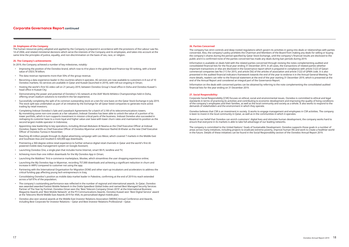#### **26. Parties Concerned**

The company has strict controls and deep-rooted regulations which govern its activities in going into deals or relationships with parties concerned. Also, the company's policy prohibits the Chairman and Members of the Board from making any deals for selling or buying the company's shares during the period specified by Qatar Stock Exchange, until the company's financial results are disclosed to the public and it is confirmed none of the parties concerned has made any deals during ban periods during 2019.

Information is available on deals held with the related parties concerned through revising the notes complementing audited and consolidated financial lists for the fiscal year ending 31 December 2019. In all cases, the transactions of related parties whether important transactions or else are disclosed in the Governance report which is prepared in compliance with article (122) of Qatari commercial companies law No (11) for 2015, and article (56) of the articles of association and article (122) of QFMA code. It is also presented in the audited financial indicators framework towards the end of the year to endorse it in the Annual General Meeting. For more details, readers can refer to the financial statement at the end of the year starting 31 December 2019, which is presented at the end of the Annual Report and considered an integral part of the Governance Report.

Information on the deals with concerned parties can be obtained by referring to the note complementing the consolidated audited financial lists for the year ending on 31 December 2019.

#### **27. Social Responsibility:**

Corporate Social Responsibility (CSR) focuses on ethical, social and environmental issues. Ooredoo is committed to ethical and legal standards in terms of practicing its activities and contributing to economic development and improving the quality of living conditions of the company's employees and their families, as well as the local community and society as a whole. It also works to respond to the demands of stakeholders and the environment in which they operate.

Ooredoo believes that CSR is an investment in society. It works to engage management and employees in CSR activities. The company is keen to invest in the local community in Qatar, as well as in the communities in which it operates.

Based on our belief that Ooredoo can enrich customers' digital lives and stimulate human development, the company works hard to ensure that everyone in its markets is able to take full advantage of our leading networks.

The company is committed to the United Nations' Goals of Sustainable Development. Ooredoo supports those goals in a number of areas across many initiatives, including projects to eradicate extreme poverty, improve human life and work to create a healthier world in the future. Details of these initiatives can be found in the Social Responsibility section of the Ooredoo Annual Report 2019.

#### **24. Employees of the Company**

The human resources policy adopted and applied by the Company is prepared in accordance with the provisions of the Labour Law No. 14 of 2004, and related ministerial decisions which serve the interests of the Company and its employees, and takes into account at the same time the principles of justice, equality, and non-discrimination on the basis of sex, race, or religion.

#### **25. The Company's achievements**

In 2019, the Company achieved a number of key milestones, notably:

- Improving the position of the Ooredoo brand, which rose to 41st place in the global Brand Finance top 50 ranking, with a brand value of USD3.78 billion;
- The data revenue represents more than 50% of the group revenue.
- Becoming a data experience leader in the countries where it operates. 4G services are now available to customers in 8 out of 10 Ooredoo markets; 5G services are available in Qatar and Kuwait (launched in 2019), with roll-out ongoing in Oman;
- Hosting the world's first 5G video call on 21 January 2019, between Ooredoo Group's head office in Doha and Ooredoo Kuwait's head office in Kuwait City;
- Demonstrating the power and potential of Ooredoo's 5G network at the IAAF World Athletics Championships held in Doha, offering smart stadium solutions to transform the fan experience;
- Successfully completing the split of its common outstanding stock on a ten-for-one basis on the Qatar Stock Exchange in July 2019. The stock split was undertaken as part of an initiative by the Exchange for all Qatar listed companies to generate more active trading by retail investors;
- Completing Indosat Ooredoo's Sale and Leaseback Agreements for a batch of 3,100 of its telecommunications towers. By monetising some non-core assets at a fair valuation, Indosat Ooredoo has been able to unlock the value of a portion of its tower portfolio, which in turn supports investment in mission critical parts of the business. Indosat Ooredoo also succeeded in reshaping its customer base to a more loyal and higher value user base with lower churn rates and maintained its position as the second largest mobile operator in Indonesia;
- Appointing new leadership to key operations, including Ahmad Abdulaziz Al Neama as the Chief Executive Officer at Indosat Ooredoo; Rajeev Sethi as Chief Executive Officer of Ooredoo Myanmar and Mansoor Rashid Al-Khater as the new Chief Executive Officer of Ooredoo Tunisia in November;
- Reaching 40 million people through its digital advertising campaign with Leo Messi, which covered 7 markets in the Middle East and Southeast Asia and resulted in 420,000 app downloads;
- Premiering a 360-degree online retail experience to further enhance digital retail channels in Qatar and the world's first AIpowered mobile data management system on Google Assistant;
- Launching Ooredoo One, a single plan that includes home Internet, smart Wi-Fi, landline and TV;
- Achieving more than one million downloads for the My Ooredoo App in Oman;
- Launching the Maldives' first e-commerce marketplace, Moolee, which streamlines the user shopping experience online;
- Launching the My Ooredoo App in Myanmar, recording 757,000 downloads and achieving a significant reduction in churn and increase in ARPU compared to customer not using the app;
- Partnering with the International Organisation for Migration (IOM) and other start-up incubators and accelerators to address the critical funding gap affecting young tech entrepreneurs in Iraq;
- Consolidating Ooredoo's position as mobile data market leader in Palestine, confirming at the end of 2019 its reach extended across a full 97% of the population;
- The company's outstanding performance was reflected in the number of regional and international awards. In Qatar, Ooredoo was awarded awarded Fastest Mobile Network in the Ookla Speedtest Global Index and named Best Managed Security Services Partner of The Year by Fortinet. Ooredoo Oman won the 'Best Telecom Company Oman 2019' at the International Business Magazine Awards and 'Best Mobile Network' at the P3 Communications Awards. Ooredoo Kuwait won 'Best Digital Service' award at the Telecoms World Middle East Awards 2019 for ANA, its personalised digital mobile plan;
- Ooredoo also won several awards at the Middle East Investor Relations Association (MEIRA) Annual Conference and Awards, including Best Corporate for Investor Relations – Qatar and Best Investor Relations Professional – Qatar.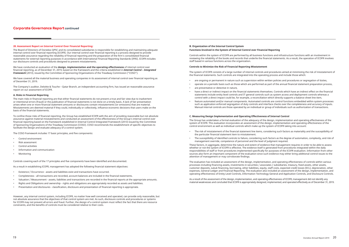## **B. Organization of the Internal Control System Functions Involved in the System of Internal Control over Financial Reporting**

Controls within the system of ICOFR are performed by all business functions and infrastructure functions with an involvement in reviewing the reliability of the books and records that underlie the financial statements. As a result, the operation of ICOFR involves staff based in various functions across the organization.

#### **Controls to Minimize the Risk of Financial Reporting Misstatement**

The system of ICOFR consists of a large number of internal controls and procedures aimed at minimizing the risk of misstatement of the financial statements. Such controls are integrated into the operating process and include those which:

• operate on a periodic basis such as those which are performed as part of the annual financial statement preparation process,

• have a direct or indirect impact on the financial statements themselves. Controls which have an indirect effect on the financial

- are ongoing or permanent in nature such as supervision within written policies and procedures or segregation of duties,
- 
- are preventative or detective in nature,
- statements include entity level controls and IT general controls such as system access and deployment controls whereas a control with a direct impact could be, for example, a reconciliation which directly supports a balance sheet line item,
- such as application enforced segregation of duty controls and interface checks over the completeness and accuracy of inputs. Manual internal controls are those operated by an individual or group of individuals such as authorization of transactions.

• feature automated and/or manual components. Automated controls are control functions embedded within system processes

#### **C. Measuring Design Implementation and Operating Effectiveness of Internal Control**

The Group has undertaken a formal evaluation of the adequacy of the design, implementation and operating effectiveness of the system of ICOFR. This evaluation incorporates an assessment of the design, implementation and operating effectiveness of the control environment as well as individual controls which make up the system of ICOFR taking into account:

- The risk of misstatement of the financial statement line items, considering such factors as materiality and the susceptibility of the particular financial statement item to misstatement.
- management override, competence of personnel and the level of judgment required.

• The susceptibility of identified controls to failure, considering such factors as the degree of automation, complexity, and risk of

These factors, in aggregate, determine the nature and extent of evidence that management requires in order to be able to assess whether or not the system of ICOFR is effective. The evidence itself is generated from procedures integrated within the daily responsibilities of staff or from procedures implemented specifically for purposes of the ICOFR evaluation. Information from other sources also form an important component of the evaluation since such evidence may either bring additional control issues to the attention of management or may corroborate findings.

- Control environment
- Risk assessment
- Control activities
- Information and communication
- **Monitoring**

The evaluation has included an assessment of the design, implementation, and operating effectiveness of controls within various processes including financing assets, investments in securities / associates / subsidiaries, treasury, fixed assets, other assets, customer deposits, sukuk financing, borrowing, other liabilities, equity, staff costs, expected credit losses (ECL), depreciation, other expenses, General Ledger and Financial Reporting. The evaluation also included an assessment of the design, implementation, and operating effectiveness of Entity Level Controls, Information Technology General and Application Controls, and Disclosure Controls.

As a result of the assessment of the design, implementation, and operating effectiveness of ICOFR, management did not identify any material weaknesses and concluded that ICOFR is appropriately designed, implemented, and operated effectively as of December 31, 2019.

#### **28. Assessment Report on Internal Control Over Financial Reporting:**

The Board of Directors of Ooredoo QPSC and its consolidated subsidiaries is responsible for establishing and maintaining adequate internal control over financial reporting (ICOFR). Our internal control over financial reporting is a process designed to provide reasonable assurance regarding the reliability of financial reporting and the preparation of the firm's consolidated financial statements for external reporting purposes in accordance with International Financial Reporting Standards (IFRS). ICOFR includes our disclosure controls and procedures designed to prevent misstatements.

We have conducted an evaluation of the **design, implementation and the operating effectiveness** of internal control over financial reporting, as of December 31, 2019, based on the framework and the criteria established in *Internal Control – Integrated Framework* (2013), issued by the Committee of Sponsoring Organizations of the Treadway Commission ("COSO").

We have covered all the material business and operating companies in its assessment of internal control over financial reporting as of December 31, 2019.

The Company's auditor, Deloitte & Touche – Qatar Branch, an independent accounting firm, has issued an reasonable assurance report on our assessment of ICOFR.

#### **A. Risks in Financial Reporting**

The main risks in financial reporting are that either financial statements do not present a true and fair view due to inadvertent or intentional errors (fraud) or the publication of financial statements is not done on a timely basis. A lack of fair presentation arises when one or more financial statement amounts or disclosures contain misstatements (or omissions) that are material. Misstatements are deemed material if they could, individually or collectively, influence economic decisions that users make on the basis of the financial statements.

To confine those risks of financial reporting, the Group has established ICOFR with the aim of providing reasonable but not absolute assurance against material misstatements and conducted an assessment of the effectiveness of the Group's internal control over financial reporting based on the framework established in Internal Control Integrated Framework (2013) issued by the Committee of Sponsoring Organizations of the Treadway Commission (COSO). COSO recommends the establishment of specific objectives to facilitate the design and evaluate adequacy of a control system.

The COSO Framework includes 17 basic principles, and five components:

Controls covering each of the 17 principles and five components have been identified and documented.

As a result in establishing ICOFR, management has adopted the following financial statement objectives:

- Existence / Occurrence assets and liabilities exist and transactions have occurred.
- Completeness all transactions are recorded, account balances are included in the financial statements.
- Valuation / Measurement assets, liabilities and transactions are recorded in the financial reports at the appropriate amounts.
- Rights and Obligations and ownership rights and obligations are appropriately recorded as assets and liabilities.
- Presentation and disclosures classification, disclosure and presentation of financial reporting is appropriate.

However, any internal control system, including ICOFR, no matter how well conceived and operated, can provide only reasonable, but not absolute assurance that the objectives of that control system are met. As such, disclosure controls and procedures or systems for ICOFR may not prevent all errors and fraud. Further, the design of a control system must reflect the fact that there are resource constraints, and the benefits of controls must be considered relative to their costs.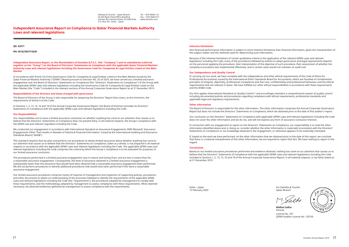**QR. 83371**

**RN: 0518/SM/FY2020**

**Independent Assurance Report, to the Shareholders of Ooredoo Q.P.S.C. (the "Company") and its subsidiaries (referred together as the "Group") on the Board of Directors' Statements on Compliance with the applicable Qatar Financial Markets Authority Laws and relevant legislations including the Governance Code for Companies & Legal Entities Listed on the Main Market** 

In accordance with Article 24 of the Governance Code for Companies & Legal Entities Listed on the Main Market Issued by the Qatar Financial Markets Authority ("QFMA") Board pursuant to Decision No. (5) of 2016, we have carried out a limited assurance engagement over the Board of Directors' Statements on Compliance (the "Directors' Statements on Compliance") of the Group with the applicable QFMA Laws and relevant legislations including the Governance Code for Companies & Legal Entities Listed on the Main Market (the "Code") included in the relevant sections of the Annual Corporate Governance Report as at 31 December 2019.

#### **Responsibilities of the directors and those charged with governance**

The Board of Directors of the Group is also responsible for preparing the Directors' Report that covers, at the minimum, the requirements of Article 4 of the Code.

In Sections 1, 2, 13, 15, 16 and 18 of the Annual Corporate Governance Report, the Board of Directors provides its Directors' Statements on Compliance with the applicable QFMA Laws and relevant legislations including the Code.

#### **Our Responsibilities**

Our responsibilities are to issue a limited assurance conclusion on whether anything has come to our attention that causes us to believe that the Directors' Statements on Compliance does not present fairly, in all material respects, the Group's compliance with the QFMA Law and relevant regulation including the Code.

We conducted our engagement in accordance with International Standard on Assurance Engagements 3000 (Revised) 'Assurance Engagements Other Than Audits or Reviews of Historical Financial Information' issued by the International Auditing and Assurance Standards Board ('IAASB').

This standard requires that we plan and perform our procedures to obtain limited assurance about whether anything has come to our attention that causes us to believe that the Directors' Statements on Compliance, taken as a whole, is not prepared in all material respects in accordance with the applicable QFMA Laws and relevant legislations including the Code. The applicable QFMA Laws and relevant legislations including the Code comprises the criteria by which the Group's compliance is to be evaluated for purposes of our limited assurance conclusion.

The procedures performed in a limited assurance engagement vary in nature and timing from, and are less in extent than for, a reasonable assurance engagement. Consequently, the level of assurance obtained in a limited assurance engagement is substantially lower than the assurance that would have been obtained had a reasonable assurance engagement been performed. We did not perform procedures to identify additional procedures that would have been performed if this were a reasonable assurance engagement.

Our limited assurance procedures comprise mainly of inquiries of management and inspection of supporting policies, procedures, and other documents to obtain an understanding of the processes followed to identify the requirements of the applicable QFMA Laws and relevant legislations including the Code (the 'requirements'); the procedures adopted by management to comply with these requirements; and the methodology adopted by management to assess compliance with these requirements. When deemed necessary, we observed evidences gathered by management to assess compliance with the requirements.

#### **Inherent limitations**

Non-financial performance information is subject to more inherent limitations than financial information, given the characteristics of the subject matter and the methods used for determining such information.

Because of the inherent limitations of certain qualitative criteria in the application of the relevant QFMA Laws and relevant legislations including the Code, many of the procedures followed by entities to adopt governance and legal requirements depend on the personnel applying the procedure, their interpretation of the objective of such procedure, their assessment of whether the compliance procedure was implemented effectively, and in certain cases would not maintain an audit trail.

#### **Our Independence and Quality Control**

In carrying out our work, we have complied with the independence and other ethical requirements of the Code of Ethics for Professional Accountants issued by the International Ethics Standards Board for Accountants, which are founded on fundamental principles of integrity, objectivity, professional competence and due care, confidentiality and professional behaviour and the ethical requirements that are relevant in Qatar. We have fulfilled our other ethical responsibilities in accordance with these requirements and the IESBA Code.

Our firm applies International Standard on Quality Control 1 and accordingly maintains a comprehensive system of quality control including documented policies and procedures regarding compliance with ethical requirements, professional standards and applicable legal and regulatory requirements.

#### **Other information**

The Board of Directors is responsible for the other information. The other information comprises the Annual Corporate Governance Report but does not include the Directors' Statements on Compliance, which we obtained prior to the date of this auditor's report.

Our conclusion on the Directors' Statements on Compliance with applicable QFMA Laws and relevant legislations including the Code does not cover the other information and we do not, and will not express any form of assurance conclusion thereon.

In connection with our engagement to report on the Directors' Statements on Compliance, our responsibility is to read the other information identified above and, in doing so, consider whether the other information is materially inconsistent with the Directors' Statements on Compliance or our knowledge obtained in the engagement, or otherwise appears to be materially misstated.

If, based on the work we have performed, on the other information that we obtained prior to the date of this report, we conclude that there is a material misstatement of this other information, we are required to report that fact. We have nothing to report in this regard.

#### **Conclusions**

Based on our limited assurance procedures performed and evidence obtained, nothing has come to our attention that causes us to believe that the Directors' Statements of Compliance with the applicable QFMA Laws and relevant legislations including the Code included in Sections 1, 2, 13, 15, 16 and 18 of the Annual Corporate Governance Report, in all material respects, is not fairly stated as at 31 December 2019.

Doha – Qatar 13 February 2020 For Deloitte & Touche Qatar Branch

**Midhat Salha** Partner

License No. 257 QFMA Auditor License No. 120156



# Independent Assurance Report on Compliance to Qatar Financial Markets Authority Laws and relevant legislations